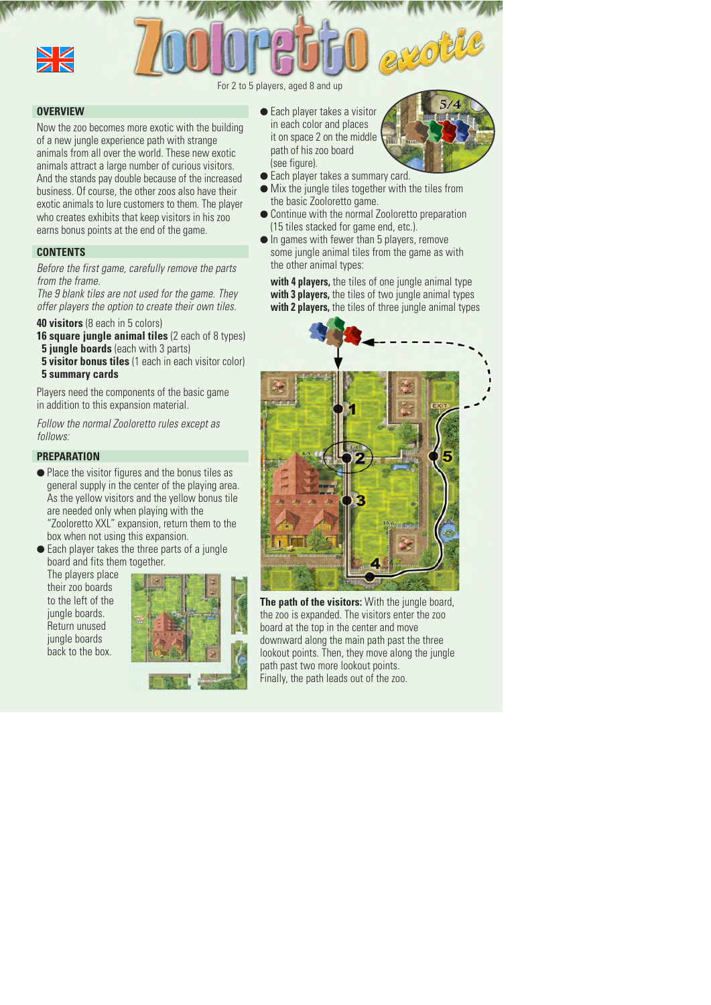

#### For 2 to 5 players, aged 8 and up

#### **OVERVIEW**

Now the zoo becomes more exotic with the building of a new jungle experience path with strange animals from all over the world. These new exotic animals attract a large number of curious visitors. And the stands pay double because of the increased business. Of course, the other zoos also have their exotic animals to lure customers to them. The player who creates exhibits that keep visitors in his zoo earns bonus points at the end of the game.

## **CONTENTS**

*Before the first game, carefully remove the parts from the frame.*

*The 9 blank tiles are not used for the game. They offer players the option to create their own tiles.*

- **40 visitors** (8 each in 5 colors)
- **16 square jungle animal tiles** (2 each of 8 types) **5 jungle boards** (each with 3 parts)
- **5 visitor bonus tiles** (1 each in each visitor color)
- **5 summary cards**

Players need the components of the basic game in addition to this expansion material.

*Follow the normal Zooloretto rules except as follows:*

## **PREPARATION**

● Place the visitor figures and the bonus tiles as general supply in the center of the playing area. As the yellow visitors and the yellow bonus tile are needed only when playing with the "Zooloretto XXL" expansion, return them to the box when not using this expansion.

 $\bullet$  Each player takes the three parts of a jungle board and fits them together.

The players place their zoo boards to the left of the jungle boards. Return unused jungle boards back to the box.



 $\bullet$  Each player takes a visitor in each color and places it on space 2 on the middle path of his zoo board (see figure).



- Each player takes a summary card.
- Mix the jungle tiles together with the tiles from the basic Zooloretto game.
- Continue with the normal Zooloretto preparation (15 tiles stacked for game end, etc.).
- In games with fewer than 5 players, remove some jungle animal tiles from the game as with the other animal types:

**with 4 players,** the tiles of one jungle animal type **with 3 players,** the tiles of two jungle animal types **with 2 players,** the tiles of three jungle animal types



**The path of the visitors:** With the jungle board, the zoo is expanded. The visitors enter the zoo board at the top in the center and move downward along the main path past the three lookout points. Then, they move along the jungle path past two more lookout points. Finally, the path leads out of the zoo.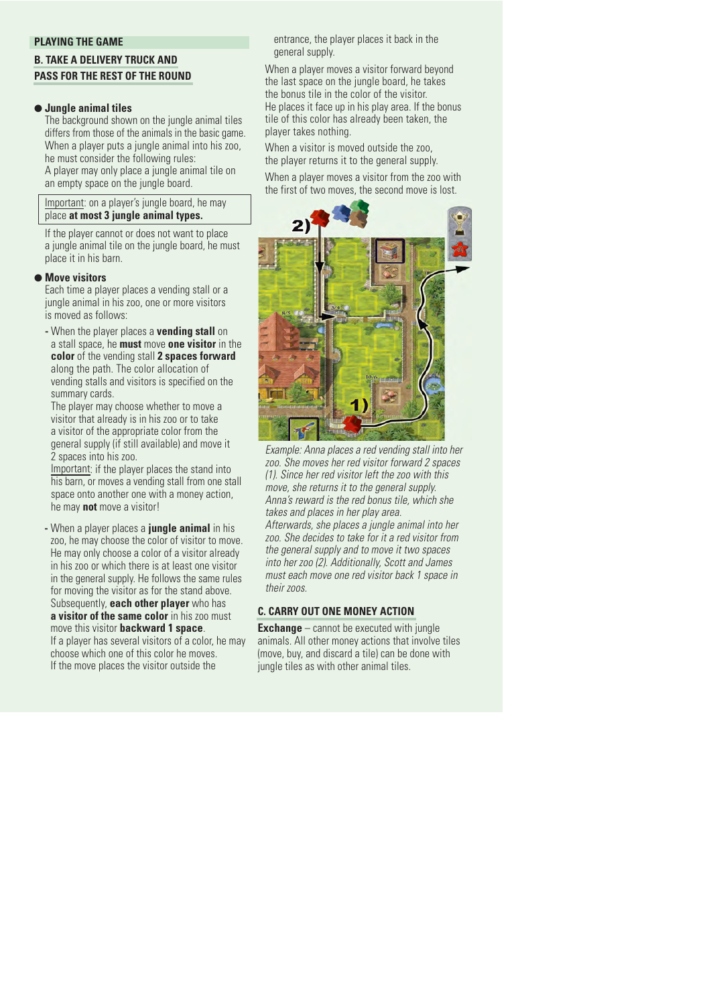## **PLAYING THE GAME**

# **B. TAKE A DELIVERY TRUCK AND PASS FOR THE REST OF THE ROUND**

## ● **Jungle animal tiles**

The background shown on the jungle animal tiles differs from those of the animals in the basic game. When a player puts a jungle animal into his zoo, he must consider the following rules:

A player may only place a jungle animal tile on an empty space on the jungle board.

Important: on a player's jungle board, he may place **at most 3 jungle animal types.**

If the player cannot or does not want to place a jungle animal tile on the jungle board, he must place it in his barn.

# ● **Move visitors**

Each time a player places a vending stall or a jungle animal in his zoo, one or more visitors is moved as follows:

**-** When the player places a **vending stall** on a stall space, he **must** move **one visitor** in the **color** of the vending stall **2 spaces forward** along the path. The color allocation of vending stalls and visitors is specified on the summary cards.

The player may choose whether to move a visitor that already is in his zoo or to take a visitor of the appropriate color from the general supply (if still available) and move it 2 spaces into his zoo.

Important: if the player places the stand into his barn, or moves a vending stall from one stall space onto another one with a money action, he may **not** move a visitor!

**-** When a player places a **jungle animal** in his zoo, he may choose the color of visitor to move. He may only choose a color of a visitor already in his zoo or which there is at least one visitor in the general supply. He follows the same rules for moving the visitor as for the stand above. Subsequently, **each other player** who has **a visitor of the same color** in his zoo must move this visitor **backward 1 space**. If a player has several visitors of a color, he may choose which one of this color he moves. If the move places the visitor outside the

entrance, the player places it back in the general supply.

When a player moves a visitor forward beyond the last space on the jungle board, he takes the bonus tile in the color of the visitor. He places it face up in his play area. If the bonus tile of this color has already been taken, the player takes nothing.

When a visitor is moved outside the zoo, the player returns it to the general supply.

When a player moves a visitor from the zoo with the first of two moves, the second move is lost.



*Example: Anna places a red vending stall into her zoo. She moves her red visitor forward 2 spaces (1). Since her red visitor left the zoo with this move, she returns it to the general supply. Anna's reward is the red bonus tile, which she takes and places in her play area. Afterwards, she places a jungle animal into her zoo. She decides to take for it a red visitor from the general supply and to move it two spaces into her zoo (2). Additionally, Scott and James must each move one red visitor back 1 space in their zoos.*

## **C. CARRY OUT ONE MONEY ACTION**

**Exchange** – cannot be executed with jungle animals. All other money actions that involve tiles (move, buy, and discard a tile) can be done with jungle tiles as with other animal tiles.